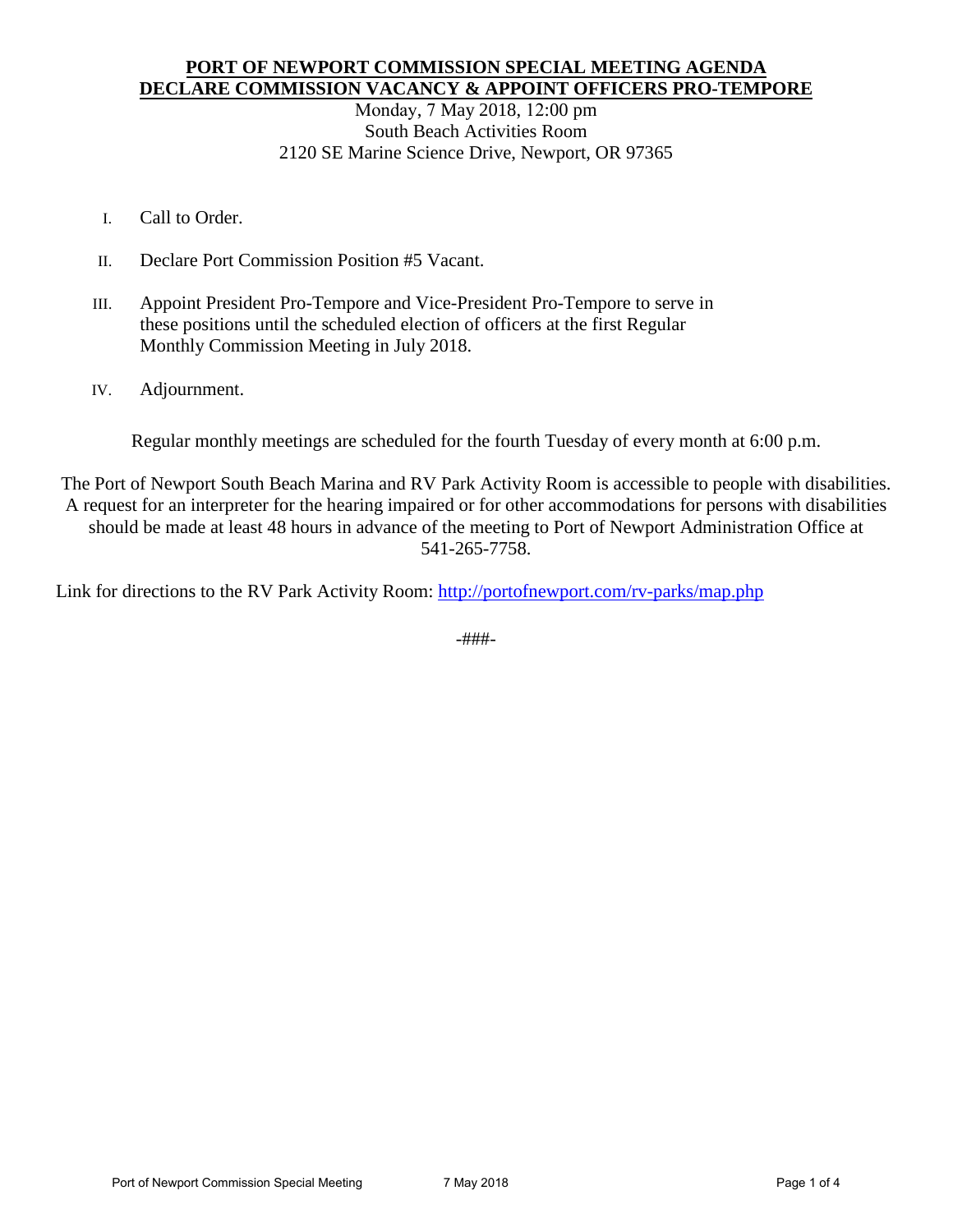### **PORT OF NEWPORT COMMISSION SPECIAL MEETING AGENDA DECLARE COMMISSION VACANCY & APPOINT OFFICERS PRO-TEMPORE**

Monday, 7 May 2018, 12:00 pm South Beach Activities Room 2120 SE Marine Science Drive, Newport, OR 97365

- I. Call to Order.
- II. Declare Port Commission Position #5 Vacant.
- III. Appoint President Pro-Tempore and Vice-President Pro-Tempore to serve in these positions until the scheduled election of officers at the first Regular Monthly Commission Meeting in July 2018.
- IV. Adjournment.

Regular monthly meetings are scheduled for the fourth Tuesday of every month at 6:00 p.m.

The Port of Newport South Beach Marina and RV Park Activity Room is accessible to people with disabilities. A request for an interpreter for the hearing impaired or for other accommodations for persons with disabilities should be made at least 48 hours in advance of the meeting to Port of Newport Administration Office at 541-265-7758.

Link for directions to the RV Park Activity Room:<http://portofnewport.com/rv-parks/map.php>

-###-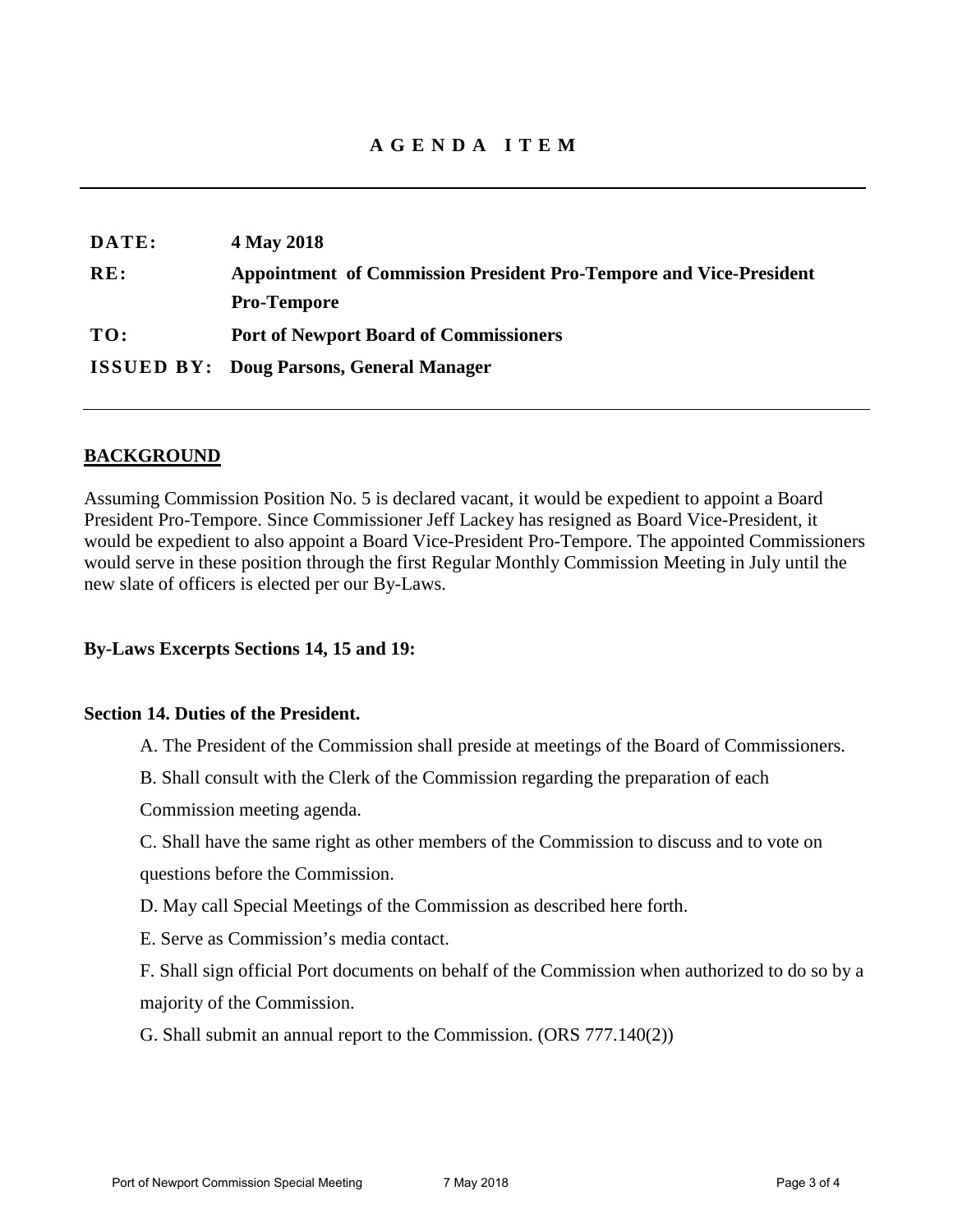| DATE: | 4 May 2018                                                         |
|-------|--------------------------------------------------------------------|
| RE:   | Appointment of Commission President Pro-Tempore and Vice-President |
|       | <b>Pro-Tempore</b>                                                 |
| TO:   | <b>Port of Newport Board of Commissioners</b>                      |
|       | <b>ISSUED BY: Doug Parsons, General Manager</b>                    |

### **BACKGROUND**

Assuming Commission Position No. 5 is declared vacant, it would be expedient to appoint a Board President Pro-Tempore. Since Commissioner Jeff Lackey has resigned as Board Vice-President, it would be expedient to also appoint a Board Vice-President Pro-Tempore. The appointed Commissioners would serve in these position through the first Regular Monthly Commission Meeting in July until the new slate of officers is elected per our By-Laws.

#### **By-Laws Excerpts Sections 14, 15 and 19:**

#### **Section 14. Duties of the President.**

- A. The President of the Commission shall preside at meetings of the Board of Commissioners.
- B. Shall consult with the Clerk of the Commission regarding the preparation of each
- Commission meeting agenda.
- C. Shall have the same right as other members of the Commission to discuss and to vote on questions before the Commission.
- D. May call Special Meetings of the Commission as described here forth.
- E. Serve as Commission's media contact.
- F. Shall sign official Port documents on behalf of the Commission when authorized to do so by a majority of the Commission.
- G. Shall submit an annual report to the Commission. (ORS 777.140(2))